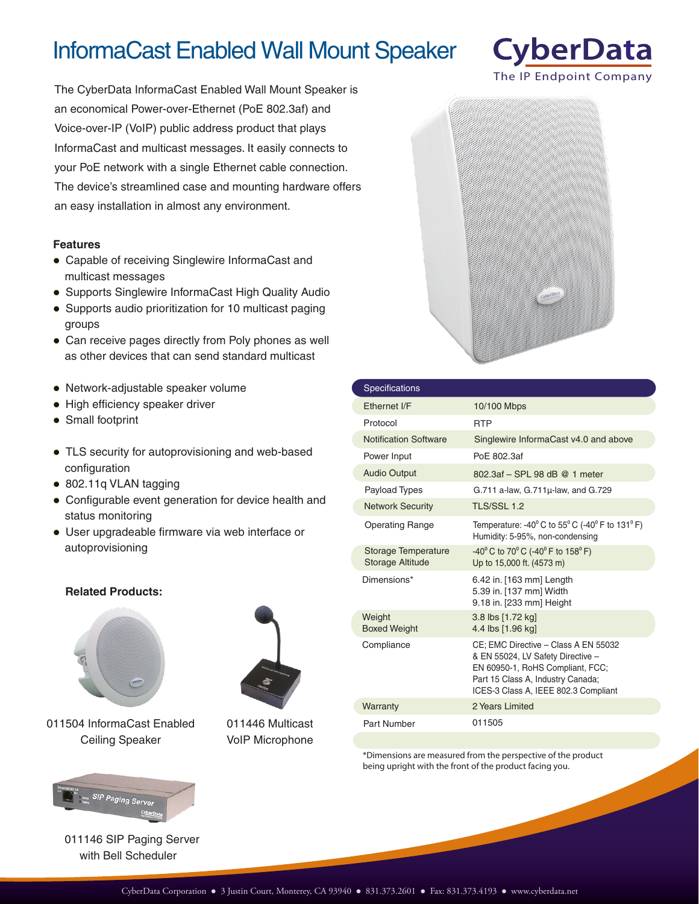## InformaCast Enabled Wall Mount Speaker

The CyberData InformaCast Enabled Wall Mount Speaker is an economical Power-over-Ethernet (PoE 802.3af) and Voice-over-IP (VoIP) public address product that plays InformaCast and multicast messages. It easily connects to your PoE network with a single Ethernet cable connection. The device's streamlined case and mounting hardware offers an easy installation in almost any environment.

## **Features**

- Capable of receiving Singlewire InformaCast and multicast messages
- Supports Singlewire InformaCast High Quality Audio
- Supports audio prioritization for 10 multicast paging groups
- Can receive pages directly from Poly phones as well as other devices that can send standard multicast
- Network-adjustable speaker volume
- High efficiency speaker driver
- Small footprint
- TLS security for autoprovisioning and web-based configuration
- 802.11q VLAN tagging
- Configurable event generation for device health and status monitoring
- User upgradeable firmware via web interface or autoprovisioning

## **Related Products:**



011504 InformaCast Enabled Ceiling Speaker



011446 Multicast VoIP Microphone



| Specifications                                 |                                                                                                                                                                                            |
|------------------------------------------------|--------------------------------------------------------------------------------------------------------------------------------------------------------------------------------------------|
| Fthernet I/F                                   | 10/100 Mbps                                                                                                                                                                                |
| Protocol                                       | <b>RTP</b>                                                                                                                                                                                 |
| <b>Notification Software</b>                   | Singlewire InformaCast v4.0 and above                                                                                                                                                      |
| Power Input                                    | PoF 802.3af                                                                                                                                                                                |
| <b>Audio Output</b>                            | 802.3af - SPL 98 dB @ 1 meter                                                                                                                                                              |
| Payload Types                                  | $G.711$ a-law, $G.711\mu$ -law, and $G.729$                                                                                                                                                |
| <b>Network Security</b>                        | <b>TLS/SSL 1.2</b>                                                                                                                                                                         |
| <b>Operating Range</b>                         | Temperature: -40 $^{\circ}$ C to 55 $^{\circ}$ C (-40 $^{\circ}$ F to 131 $^{\circ}$ F)<br>Humidity: 5-95%, non-condensing                                                                 |
| Storage Temperature<br><b>Storage Altitude</b> | $-40^{\circ}$ C to 70 $^{\circ}$ C ( $-40^{\circ}$ F to 158 $^{\circ}$ F)<br>Up to 15,000 ft. (4573 m)                                                                                     |
| Dimensions*                                    | 6.42 in. [163 mm] Length<br>5.39 in. [137 mm] Width<br>9.18 in. [233 mm] Height                                                                                                            |
| Weight<br><b>Boxed Weight</b>                  | 3.8 lbs [1.72 kg]<br>4.4 lbs [1.96 kg]                                                                                                                                                     |
| Compliance                                     | CE: EMC Directive - Class A EN 55032<br>& EN 55024, LV Safety Directive -<br>EN 60950-1, RoHS Compliant, FCC;<br>Part 15 Class A, Industry Canada;<br>ICES-3 Class A, IEEE 802.3 Compliant |
| Warranty                                       | 2 Years Limited                                                                                                                                                                            |
| Part Number                                    | 011505                                                                                                                                                                                     |

\*Dimensions are measured from the perspective of the product being upright with the front of the product facing you.



011146 SIP Paging Server with Bell Scheduler